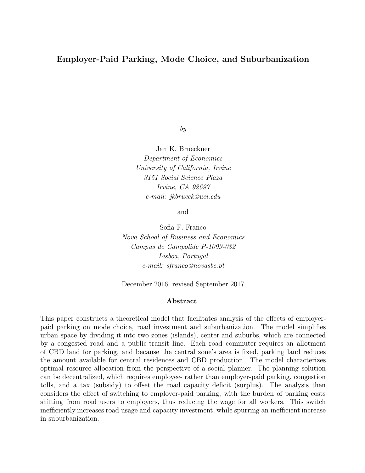## Employer-Paid Parking, Mode Choice, and Suburbanization

by

Jan K. Brueckner Department of Economics University of California, Irvine 3151 Social Science Plaza Irvine, CA 92697 e-mail: jkbrueck@uci.edu

and

Sofia F. Franco Nova School of Business and Economics Campus de Campolide P-1099-032 Lisboa, Portugal e-mail: sfranco@novasbe.pt

December 2016, revised September 2017

#### Abstract

This paper constructs a theoretical model that facilitates analysis of the effects of employerpaid parking on mode choice, road investment and suburbanization. The model simplifies urban space by dividing it into two zones (islands), center and suburbs, which are connected by a congested road and a public-transit line. Each road commuter requires an allotment of CBD land for parking, and because the central zone's area is fixed, parking land reduces the amount available for central residences and CBD production. The model characterizes optimal resource allocation from the perspective of a social planner. The planning solution can be decentralized, which requires employee- rather than employer-paid parking, congestion tolls, and a tax (subsidy) to offset the road capacity deficit (surplus). The analysis then considers the effect of switching to employer-paid parking, with the burden of parking costs shifting from road users to employers, thus reducing the wage for all workers. This switch inefficiently increases road usage and capacity investment, while spurring an inefficient increase in suburbanization.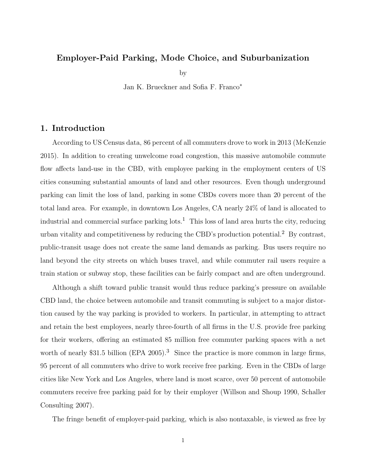## Employer-Paid Parking, Mode Choice, and Suburbanization

by

Jan K. Brueckner and Sofia F. Franco<sup>∗</sup>

## 1. Introduction

According to US Census data, 86 percent of all commuters drove to work in 2013 (McKenzie 2015). In addition to creating unwelcome road congestion, this massive automobile commute flow affects land-use in the CBD, with employee parking in the employment centers of US cities consuming substantial amounts of land and other resources. Even though underground parking can limit the loss of land, parking in some CBDs covers more than 20 percent of the total land area. For example, in downtown Los Angeles, CA nearly 24% of land is allocated to industrial and commercial surface parking lots.<sup>1</sup> This loss of land area hurts the city, reducing urban vitality and competitiveness by reducing the CBD's production potential.<sup>2</sup> By contrast, public-transit usage does not create the same land demands as parking. Bus users require no land beyond the city streets on which buses travel, and while commuter rail users require a train station or subway stop, these facilities can be fairly compact and are often underground.

Although a shift toward public transit would thus reduce parking's pressure on available CBD land, the choice between automobile and transit commuting is subject to a major distortion caused by the way parking is provided to workers. In particular, in attempting to attract and retain the best employees, nearly three-fourth of all firms in the U.S. provide free parking for their workers, offering an estimated 85 million free commuter parking spaces with a net worth of nearly \$31.5 billion (EPA 2005).<sup>3</sup> Since the practice is more common in large firms, 95 percent of all commuters who drive to work receive free parking. Even in the CBDs of large cities like New York and Los Angeles, where land is most scarce, over 50 percent of automobile commuters receive free parking paid for by their employer (Willson and Shoup 1990, Schaller Consulting 2007).

The fringe benefit of employer-paid parking, which is also nontaxable, is viewed as free by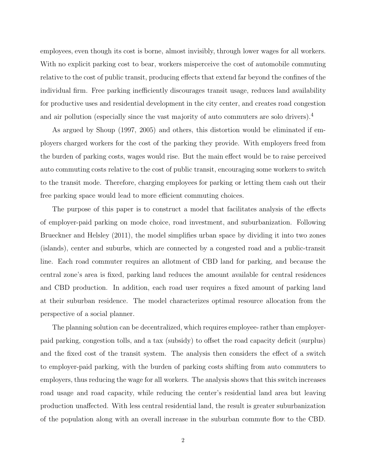employees, even though its cost is borne, almost invisibly, through lower wages for all workers. With no explicit parking cost to bear, workers misperceive the cost of automobile commuting relative to the cost of public transit, producing effects that extend far beyond the confines of the individual firm. Free parking inefficiently discourages transit usage, reduces land availability for productive uses and residential development in the city center, and creates road congestion and air pollution (especially since the vast majority of auto commuters are solo drivers).<sup>4</sup>

As argued by Shoup (1997, 2005) and others, this distortion would be eliminated if employers charged workers for the cost of the parking they provide. With employers freed from the burden of parking costs, wages would rise. But the main effect would be to raise perceived auto commuting costs relative to the cost of public transit, encouraging some workers to switch to the transit mode. Therefore, charging employees for parking or letting them cash out their free parking space would lead to more efficient commuting choices.

The purpose of this paper is to construct a model that facilitates analysis of the effects of employer-paid parking on mode choice, road investment, and suburbanization. Following Brueckner and Helsley (2011), the model simplifies urban space by dividing it into two zones (islands), center and suburbs, which are connected by a congested road and a public-transit line. Each road commuter requires an allotment of CBD land for parking, and because the central zone's area is fixed, parking land reduces the amount available for central residences and CBD production. In addition, each road user requires a fixed amount of parking land at their suburban residence. The model characterizes optimal resource allocation from the perspective of a social planner.

The planning solution can be decentralized, which requires employee- rather than employerpaid parking, congestion tolls, and a tax (subsidy) to offset the road capacity deficit (surplus) and the fixed cost of the transit system. The analysis then considers the effect of a switch to employer-paid parking, with the burden of parking costs shifting from auto commuters to employers, thus reducing the wage for all workers. The analysis shows that this switch increases road usage and road capacity, while reducing the center's residential land area but leaving production unaffected. With less central residential land, the result is greater suburbanization of the population along with an overall increase in the suburban commute flow to the CBD.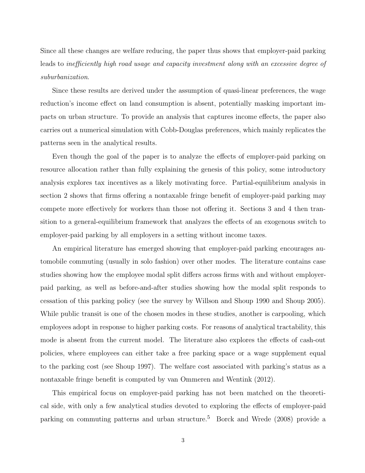Since all these changes are welfare reducing, the paper thus shows that employer-paid parking leads to inefficiently high road usage and capacity investment along with an excessive degree of suburbanization.

Since these results are derived under the assumption of quasi-linear preferences, the wage reduction's income effect on land consumption is absent, potentially masking important impacts on urban structure. To provide an analysis that captures income effects, the paper also carries out a numerical simulation with Cobb-Douglas preferences, which mainly replicates the patterns seen in the analytical results.

Even though the goal of the paper is to analyze the effects of employer-paid parking on resource allocation rather than fully explaining the genesis of this policy, some introductory analysis explores tax incentives as a likely motivating force. Partial-equilibrium analysis in section 2 shows that firms offering a nontaxable fringe benefit of employer-paid parking may compete more effectively for workers than those not offering it. Sections 3 and 4 then transition to a general-equilibrium framework that analyzes the effects of an exogenous switch to employer-paid parking by all employers in a setting without income taxes.

An empirical literature has emerged showing that employer-paid parking encourages automobile commuting (usually in solo fashion) over other modes. The literature contains case studies showing how the employee modal split differs across firms with and without employerpaid parking, as well as before-and-after studies showing how the modal split responds to cessation of this parking policy (see the survey by Willson and Shoup 1990 and Shoup 2005). While public transit is one of the chosen modes in these studies, another is carpooling, which employees adopt in response to higher parking costs. For reasons of analytical tractability, this mode is absent from the current model. The literature also explores the effects of cash-out policies, where employees can either take a free parking space or a wage supplement equal to the parking cost (see Shoup 1997). The welfare cost associated with parking's status as a nontaxable fringe benefit is computed by van Ommeren and Wentink (2012).

This empirical focus on employer-paid parking has not been matched on the theoretical side, with only a few analytical studies devoted to exploring the effects of employer-paid parking on commuting patterns and urban structure.<sup>5</sup> Borck and Wrede  $(2008)$  provide a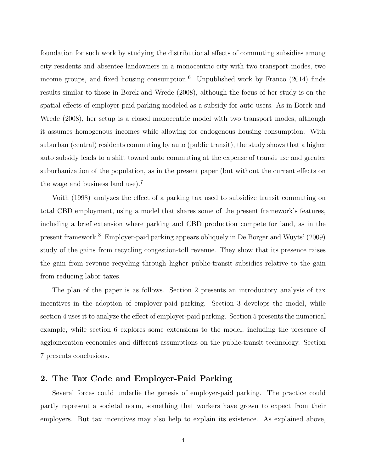foundation for such work by studying the distributional effects of commuting subsidies among city residents and absentee landowners in a monocentric city with two transport modes, two income groups, and fixed housing consumption.<sup>6</sup> Unpublished work by Franco  $(2014)$  finds results similar to those in Borck and Wrede (2008), although the focus of her study is on the spatial effects of employer-paid parking modeled as a subsidy for auto users. As in Borck and Wrede (2008), her setup is a closed monocentric model with two transport modes, although it assumes homogenous incomes while allowing for endogenous housing consumption. With suburban (central) residents commuting by auto (public transit), the study shows that a higher auto subsidy leads to a shift toward auto commuting at the expense of transit use and greater suburbanization of the population, as in the present paper (but without the current effects on the wage and business land use).<sup>7</sup>

Voith (1998) analyzes the effect of a parking tax used to subsidize transit commuting on total CBD employment, using a model that shares some of the present framework's features, including a brief extension where parking and CBD production compete for land, as in the present framework.<sup>8</sup> Employer-paid parking appears obliquely in De Borger and Wuyts' (2009) study of the gains from recycling congestion-toll revenue. They show that its presence raises the gain from revenue recycling through higher public-transit subsidies relative to the gain from reducing labor taxes.

The plan of the paper is as follows. Section 2 presents an introductory analysis of tax incentives in the adoption of employer-paid parking. Section 3 develops the model, while section 4 uses it to analyze the effect of employer-paid parking. Section 5 presents the numerical example, while section 6 explores some extensions to the model, including the presence of agglomeration economies and different assumptions on the public-transit technology. Section 7 presents conclusions.

## 2. The Tax Code and Employer-Paid Parking

Several forces could underlie the genesis of employer-paid parking. The practice could partly represent a societal norm, something that workers have grown to expect from their employers. But tax incentives may also help to explain its existence. As explained above,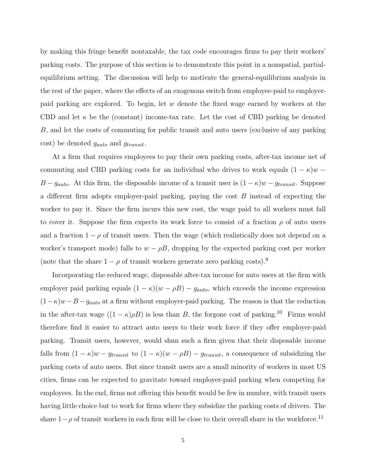by making this fringe benefit nontaxable, the tax code encourages firms to pay their workers' parking costs. The purpose of this section is to demonstrate this point in a nonspatial, partialequilibrium setting. The discussion will help to motivate the general-equilibrium analysis in the rest of the paper, where the effects of an exogenous switch from employee-paid to employerpaid parking are explored. To begin, let w denote the fixed wage earned by workers at the CBD and let  $\kappa$  be the (constant) income-tax rate. Let the cost of CBD parking be denoted B, and let the costs of commuting for public transit and auto users (exclusive of any parking cost) be denoted  $g_{auto}$  and  $g_{transit}$ .

At a firm that requires employees to pay their own parking costs, after-tax income net of commuting and CBD parking costs for an individual who drives to work equals  $(1 - \kappa)w$  −  $B - g_{auto}$ . At this firm, the disposable income of a transit user is  $(1 - \kappa)w - g_{transit}$ . Suppose a different firm adopts employer-paid parking, paying the cost  $B$  instead of expecting the worker to pay it. Since the firm incurs this new cost, the wage paid to all workers must fall to cover it. Suppose the firm expects its work force to consist of a fraction  $\rho$  of auto users and a fraction  $1 - \rho$  of transit users. Then the wage (which realistically does not depend on a worker's transport mode) falls to  $w - \rho B$ , dropping by the expected parking cost per worker (note that the share  $1 - \rho$  of transit workers generate zero parking costs).<sup>9</sup>

Incorporating the reduced wage, disposable after-tax income for auto users at the firm with employer paid parking equals  $(1 - \kappa)(w - \rho B) - g_{auto}$ , which exceeds the income expression  $(1-\kappa)w-B-g_{auto}$  at a firm without employer-paid parking. The reason is that the reduction in the after-tax wage  $((1 - \kappa)\rho B)$  is less than B, the forgone cost of parking.<sup>10</sup> Firms would therefore find it easier to attract auto users to their work force if they offer employer-paid parking. Transit users, however, would shun such a firm given that their disposable income falls from  $(1 - \kappa)w - g_{transit}$  to  $(1 - \kappa)(w - \rho B) - g_{transit}$ , a consequence of subsidizing the parking costs of auto users. But since transit users are a small minority of workers in most US cities, firms can be expected to gravitate toward employer-paid parking when competing for employees. In the end, firms not offering this benefit would be few in number, with transit users having little choice but to work for firms where they subsidize the parking costs of drivers. The share  $1-\rho$  of transit workers in each firm will be close to their overall share in the workforce.<sup>11</sup>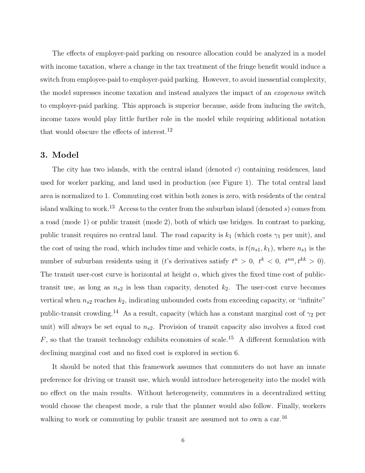The effects of employer-paid parking on resource allocation could be analyzed in a model with income taxation, where a change in the tax treatment of the fringe benefit would induce a switch from employee-paid to employer-paid parking. However, to avoid inessential complexity, the model supresses income taxation and instead analyzes the impact of an exogenous switch to employer-paid parking. This approach is superior because, aside from inducing the switch, income taxes would play little further role in the model while requiring additional notation that would obscure the effects of interest.<sup>12</sup>

## 3. Model

The city has two islands, with the central island (denoted  $c$ ) containing residences, land used for worker parking, and land used in production (see Figure 1). The total central land area is normalized to 1. Commuting cost within both zones is zero, with residents of the central island walking to work.<sup>13</sup> Access to the center from the suburban island (denoted s) comes from a road (mode 1) or public transit (mode 2), both of which use bridges. In contrast to parking, public transit requires no central land. The road capacity is  $k_1$  (which costs  $\gamma_1$  per unit), and the cost of using the road, which includes time and vehicle costs, is  $t(n_{s1}, k_1)$ , where  $n_{s1}$  is the number of suburban residents using it (*t*'s derivatives satisfy  $t^n > 0$ ,  $t^k < 0$ ,  $t^{nn}$ ,  $t^{kk} > 0$ ). The transit user-cost curve is horizontal at height  $\alpha$ , which gives the fixed time cost of publictransit use, as long as  $n_{s2}$  is less than capacity, denoted  $k_2$ . The user-cost curve becomes vertical when  $n_{s2}$  reaches  $k_2$ , indicating unbounded costs from exceeding capacity, or "infinite" public-transit crowding.<sup>14</sup> As a result, capacity (which has a constant marginal cost of  $\gamma_2$  per unit) will always be set equal to  $n_{s2}$ . Provision of transit capacity also involves a fixed cost  $F$ , so that the transit technology exhibits economies of scale.<sup>15</sup> A different formulation with declining marginal cost and no fixed cost is explored in section 6.

It should be noted that this framework assumes that commuters do not have an innate preference for driving or transit use, which would introduce heterogeneity into the model with no effect on the main results. Without heterogeneity, commuters in a decentralized setting would choose the cheapest mode, a rule that the planner would also follow. Finally, workers walking to work or commuting by public transit are assumed not to own a car.<sup>16</sup>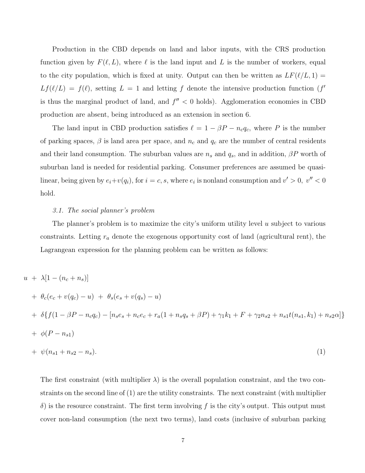Production in the CBD depends on land and labor inputs, with the CRS production function given by  $F(\ell, L)$ , where  $\ell$  is the land input and L is the number of workers, equal to the city population, which is fixed at unity. Output can then be written as  $LF(\ell/L, 1)$  =  $Lf(\ell/L) = f(\ell)$ , setting  $L = 1$  and letting f denote the intensive production function (f' is thus the marginal product of land, and  $f'' < 0$  holds). Agglomeration economies in CBD production are absent, being introduced as an extension in section 6.

The land input in CBD production satisfies  $\ell = 1 - \beta P - n_c q_c$ , where P is the number of parking spaces,  $\beta$  is land area per space, and  $n_c$  and  $q_c$  are the number of central residents and their land consumption. The suburban values are  $n_s$  and  $q_s$ , and in addition,  $\beta P$  worth of suburban land is needed for residential parking. Consumer preferences are assumed be quasilinear, being given by  $e_i+v(q_i)$ , for  $i=c,s$ , where  $e_i$  is nonland consumption and  $v' > 0$ ,  $v'' < 0$ hold.

#### 3.1. The social planner's problem

The planner's problem is to maximize the city's uniform utility level  $u$  subject to various constraints. Letting  $r_a$  denote the exogenous opportunity cost of land (agricultural rent), the Lagrangean expression for the planning problem can be written as follows:

$$
u + \lambda[1 - (n_c + n_s)]
$$
  
+  $\theta_c(e_c + v(q_c) - u) + \theta_s(e_s + v(q_s) - u)$   
+  $\delta\{f(1 - \beta P - n_c q_c) - [n_s e_s + n_c e_c + r_a(1 + n_s q_s + \beta P) + \gamma_1 k_1 + F + \gamma_2 n_s q + n_s_1 t(n_s_1, k_1) + n_s_2 \alpha] \}$   
+  $\phi(P - n_{s1})$   
+  $\psi(n_{s1} + n_{s2} - n_s).$  (1)

The first constraint (with multiplier  $\lambda$ ) is the overall population constraint, and the two constraints on the second line of (1) are the utility constraints. The next constraint (with multiplier  $\delta$ ) is the resource constraint. The first term involving f is the city's output. This output must cover non-land consumption (the next two terms), land costs (inclusive of suburban parking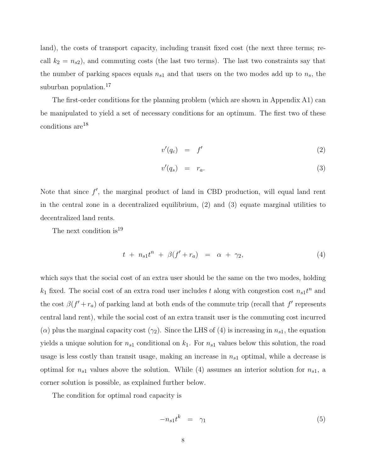land), the costs of transport capacity, including transit fixed cost (the next three terms; recall  $k_2 = n_{s2}$ , and commuting costs (the last two terms). The last two constraints say that the number of parking spaces equals  $n_{s1}$  and that users on the two modes add up to  $n_s$ , the suburban population.<sup>17</sup>

The first-order conditions for the planning problem (which are shown in Appendix A1) can be manipulated to yield a set of necessary conditions for an optimum. The first two of these conditions are<sup>18</sup>

$$
v'(q_c) = f'
$$
\n<sup>(2)</sup>

$$
v'(q_s) = r_a. \tag{3}
$$

Note that since  $f'$ , the marginal product of land in CBD production, will equal land rent in the central zone in a decentralized equilibrium, (2) and (3) equate marginal utilities to decentralized land rents.

The next condition is  $19$ 

$$
t + n_{s1}t^{n} + \beta(f' + r_{a}) = \alpha + \gamma_{2}, \qquad (4)
$$

which says that the social cost of an extra user should be the same on the two modes, holding  $k_1$  fixed. The social cost of an extra road user includes t along with congestion cost  $n_{s1}t^n$  and the cost  $\beta(f' + r_a)$  of parking land at both ends of the commute trip (recall that f' represents central land rent), while the social cost of an extra transit user is the commuting cost incurred ( $\alpha$ ) plus the marginal capacity cost ( $\gamma_2$ ). Since the LHS of (4) is increasing in  $n_{s1}$ , the equation yields a unique solution for  $n_{s1}$  conditional on  $k_1$ . For  $n_{s1}$  values below this solution, the road usage is less costly than transit usage, making an increase in  $n_{s1}$  optimal, while a decrease is optimal for  $n_{s1}$  values above the solution. While (4) assumes an interior solution for  $n_{s1}$ , a corner solution is possible, as explained further below.

The condition for optimal road capacity is

$$
-n_{s1}t^k = \gamma_1 \tag{5}
$$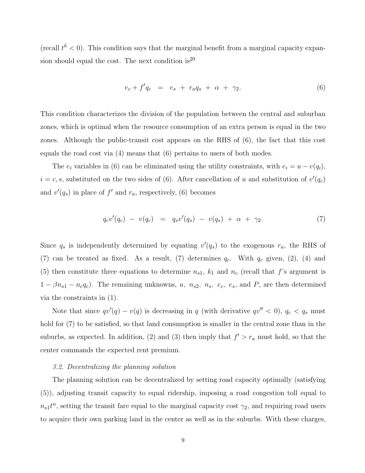(recall  $t^k < 0$ ). This condition says that the marginal benefit from a marginal capacity expansion should equal the cost. The next condition is  $2<sup>0</sup>$ 

$$
e_c + f'q_c = e_s + r_aq_s + \alpha + \gamma_2. \tag{6}
$$

This condition characterizes the division of the population between the central and suburban zones, which is optimal when the resource consumption of an extra person is equal in the two zones. Although the public-transit cost appears on the RHS of (6), the fact that this cost equals the road cost via (4) means that (6) pertains to users of both modes.

The  $e_i$  variables in (6) can be eliminated using the utility constraints, with  $e_i = u - v(q_i)$ ,  $i = c, s$ , substituted on the two sides of (6). After cancellation of u and substitution of  $v'(q_c)$ and  $v'(q_s)$  in place of  $f'$  and  $r_a$ , respectively, (6) becomes

$$
q_c v'(q_c) - v(q_c) = q_s v'(q_s) - v(q_s) + \alpha + \gamma_2. \tag{7}
$$

Since  $q_s$  is independently determined by equating  $v'(q_s)$  to the exogenous  $r_a$ , the RHS of (7) can be treated as fixed. As a result, (7) determines  $q_c$ . With  $q_c$  given, (2), (4) and (5) then constitute three equations to determine  $n_{s1}$ ,  $k_1$  and  $n_c$  (recall that f's argument is  $1 - \beta n_{s1} - n_c q_c$ ). The remaining unknowns, u,  $n_{s2}$ ,  $n_s$ ,  $e_c$ ,  $e_s$ , and P, are then determined via the constraints in (1).

Note that since  $qv'(q) - v(q)$  is decreasing in q (with derivative  $qv'' < 0$ ),  $q_c < q_s$  must hold for (7) to be satisfied, so that land consumption is smaller in the central zone than in the suburbs, as expected. In addition, (2) and (3) then imply that  $f' > r_a$  must hold, so that the center commands the expected rent premium.

#### 3.2. Decentralizing the planning solution

The planning solution can be decentralized by setting road capacity optimally (satisfying (5)), adjusting transit capacity to equal ridership, imposing a road congestion toll equal to  $n_{s1}t^n$ , setting the transit fare equal to the marginal capacity cost  $\gamma_2$ , and requiring road users to acquire their own parking land in the center as well as in the suburbs. With these charges,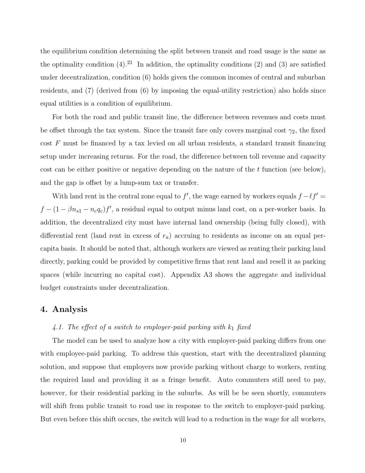the equilibrium condition determining the split between transit and road usage is the same as the optimality condition  $(4)$ .<sup>21</sup> In addition, the optimality conditions  $(2)$  and  $(3)$  are satisfied under decentralization, condition (6) holds given the common incomes of central and suburban residents, and (7) (derived from (6) by imposing the equal-utility restriction) also holds since equal utilities is a condition of equilibrium.

For both the road and public transit line, the difference between revenues and costs must be offset through the tax system. Since the transit fare only covers marginal cost  $\gamma_2$ , the fixed cost  $F$  must be financed by a tax levied on all urban residents, a standard transit financing setup under increasing returns. For the road, the difference between toll revenue and capacity cost can be either positive or negative depending on the nature of the  $t$  function (see below), and the gap is offset by a lump-sum tax or transfer.

With land rent in the central zone equal to  $f'$ , the wage earned by workers equals  $f - \ell f' =$  $f - (1 - \beta n_{s1} - n_c q_c) f'$ , a residual equal to output minus land cost, on a per-worker basis. In addition, the decentralized city must have internal land ownership (being fully closed), with differential rent (land rent in excess of  $r_a$ ) accruing to residents as income on an equal percapita basis. It should be noted that, although workers are viewed as renting their parking land directly, parking could be provided by competitive firms that rent land and resell it as parking spaces (while incurring no capital cost). Appendix A3 shows the aggregate and individual budget constraints under decentralization.

### 4. Analysis

## 4.1. The effect of a switch to employer-paid parking with  $k_1$  fixed

The model can be used to analyze how a city with employer-paid parking differs from one with employee-paid parking. To address this question, start with the decentralized planning solution, and suppose that employers now provide parking without charge to workers, renting the required land and providing it as a fringe benefit. Auto commuters still need to pay, however, for their residential parking in the suburbs. As will be be seen shortly, commuters will shift from public transit to road use in response to the switch to employer-paid parking. But even before this shift occurs, the switch will lead to a reduction in the wage for all workers,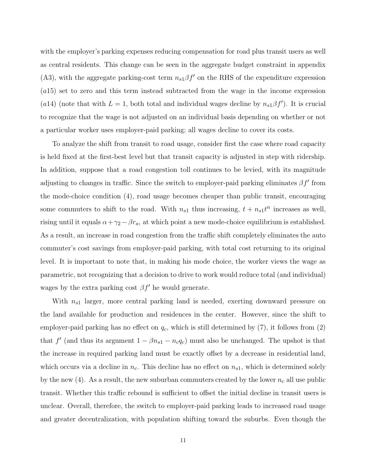with the employer's parking expenses reducing compensation for road plus transit users as well as central residents. This change can be seen in the aggregate budget constraint in appendix (A3), with the aggregate parking-cost term  $n_{s1}\beta f'$  on the RHS of the expenditure expression (a15) set to zero and this term instead subtracted from the wage in the income expression (a14) (note that with  $L = 1$ , both total and individual wages decline by  $n_{s1}\beta f'$ ). It is crucial to recognize that the wage is not adjusted on an individual basis depending on whether or not a particular worker uses employer-paid parking; all wages decline to cover its costs.

To analyze the shift from transit to road usage, consider first the case where road capacity is held fixed at the first-best level but that transit capacity is adjusted in step with ridership. In addition, suppose that a road congestion toll continues to be levied, with its magnitude adjusting to changes in traffic. Since the switch to employer-paid parking eliminates  $\beta f'$  from the mode-choice condition (4), road usage becomes cheaper than public transit, encouraging some commuters to shift to the road. With  $n_{s1}$  thus increasing,  $t + n_{s1}t^n$  increases as well, rising until it equals  $\alpha + \gamma_2 - \beta r_a$ , at which point a new mode-choice equilibrium is established. As a result, an increase in road congestion from the traffic shift completely eliminates the auto commuter's cost savings from employer-paid parking, with total cost returning to its original level. It is important to note that, in making his mode choice, the worker views the wage as parametric, not recognizing that a decision to drive to work would reduce total (and individual) wages by the extra parking cost  $\beta f'$  he would generate.

With  $n_{s1}$  larger, more central parking land is needed, exerting downward pressure on the land available for production and residences in the center. However, since the shift to employer-paid parking has no effect on  $q_c$ , which is still determined by  $(7)$ , it follows from  $(2)$ that f' (and thus its argument  $1 - \beta n_{s1} - n_c q_c$ ) must also be unchanged. The upshot is that the increase in required parking land must be exactly offset by a decrease in residential land, which occurs via a decline in  $n_c$ . This decline has no effect on  $n_{s1}$ , which is determined solely by the new (4). As a result, the new suburban commuters created by the lower  $n_c$  all use public transit. Whether this traffic rebound is sufficient to offset the initial decline in transit users is unclear. Overall, therefore, the switch to employer-paid parking leads to increased road usage and greater decentralization, with population shifting toward the suburbs. Even though the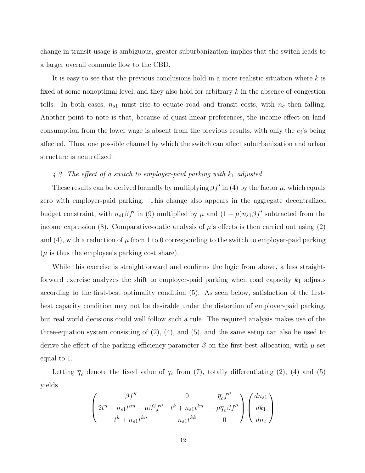change in transit usage is ambiguous, greater suburbanization implies that the switch leads to a larger overall commute flow to the CBD.

It is easy to see that the previous conclusions hold in a more realistic situation where  $k$  is fixed at some nonoptimal level, and they also hold for arbitrary  $k$  in the absence of congestion tolls. In both cases,  $n_{s1}$  must rise to equate road and transit costs, with  $n_c$  then falling. Another point to note is that, because of quasi-linear preferences, the income effect on land consumption from the lower wage is absent from the previous results, with only the  $e_i$ 's being affected. Thus, one possible channel by which the switch can affect suburbanization and urban structure is neutralized.

## 4.2. The effect of a switch to employer-paid parking with  $k_1$  adjusted

These results can be derived formally by multiplying  $\beta f'$  in (4) by the factor  $\mu$ , which equals zero with employer-paid parking. This change also appears in the aggregate decentralized budget constraint, with  $n_{s1}\beta f'$  in (9) multiplied by  $\mu$  and  $(1 - \mu)n_{s1}\beta f'$  subtracted from the income expression (8). Comparative-static analysis of  $\mu$ 's effects is then carried out using (2) and (4), with a reduction of  $\mu$  from 1 to 0 corresponding to the switch to employer-paid parking  $(\mu \text{ is thus the employee's parking cost share}).$ 

While this exercise is straightforward and confirms the logic from above, a less straightforward exercise analyzes the shift to employer-paid parking when road capacity  $k_1$  adjusts according to the first-best optimality condition (5). As seen below, satisfaction of the firstbest capacity condition may not be desirable under the distortion of employer-paid parking, but real world decisions could well follow such a rule. The required analysis makes use of the three-equation system consisting of  $(2)$ ,  $(4)$ , and  $(5)$ , and the same setup can also be used to derive the effect of the parking efficiency parameter  $\beta$  on the first-best allocation, with  $\mu$  set equal to 1.

Letting  $\overline{q}_c$  denote the fixed value of  $q_c$  from (7), totally differentiating (2), (4) and (5) yields

$$
\begin{pmatrix} \beta f'' & 0 & \overline{q}_c f'' \\ 2t^n + n_{s1}t^{nn} - \mu \beta^2 f'' & t^k + n_{s1}t^{kn} & -\mu \overline{q}_c \beta f'' \\ t^k + n_{s1}t^{kn} & n_{s1}t^{kk} & 0 \end{pmatrix} \begin{pmatrix} d n_{s1} \\ dk_1 \\ dn_c \end{pmatrix}
$$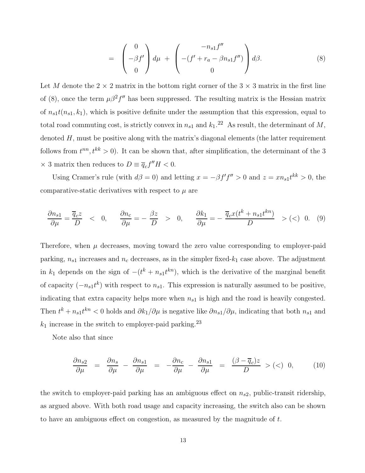$$
= \begin{pmatrix} 0 \\ -\beta f' \\ 0 \end{pmatrix} d\mu + \begin{pmatrix} -n_{s1}f'' \\ -(f' + r_a - \beta n_{s1}f'') \\ 0 \end{pmatrix} d\beta.
$$
 (8)

Let M denote the  $2 \times 2$  matrix in the bottom right corner of the  $3 \times 3$  matrix in the first line of (8), once the term  $\mu \beta^2 f''$  has been suppressed. The resulting matrix is the Hessian matrix of  $n_{s1}t(n_{s1}, k_1)$ , which is positive definite under the assumption that this expression, equal to total road commuting cost, is strictly convex in  $n_{s1}$  and  $k_1$ .<sup>22</sup> As result, the determinant of M, denoted  $H$ , must be positive along with the matrix's diagonal elements (the latter requirement follows from  $t^{nn}$ ,  $t^{kk} > 0$ ). It can be shown that, after simplification, the determinant of the 3  $\times$  3 matrix then reduces to  $D \equiv \overline{q}_c f'' H < 0$ .

Using Cramer's rule (with  $d\beta = 0$ ) and letting  $x = -\beta f' f'' > 0$  and  $z = x n_{s1} t^{kk} > 0$ , the comparative-static derivatives with respect to  $\mu$  are

$$
\frac{\partial n_{s1}}{\partial \mu} = \frac{\overline{q}_c z}{D} < 0, \qquad \frac{\partial n_c}{\partial \mu} = -\frac{\beta z}{D} > 0, \qquad \frac{\partial k_1}{\partial \mu} = -\frac{\overline{q}_c x (t^k + n_{s1} t^{kn})}{D} > (<) 0. \tag{9}
$$

Therefore, when  $\mu$  decreases, moving toward the zero value corresponding to employer-paid parking,  $n_{s1}$  increases and  $n_c$  decreases, as in the simpler fixed- $k_1$  case above. The adjustment in  $k_1$  depends on the sign of  $-(t^k + n_{s1}t^{kn})$ , which is the derivative of the marginal benefit of capacity  $(-n_{s1}t^k)$  with respect to  $n_{s1}$ . This expression is naturally assumed to be positive, indicating that extra capacity helps more when  $n_{s1}$  is high and the road is heavily congested. Then  $t^k + n_{s1}t^{kn} < 0$  holds and  $\partial k_1/\partial \mu$  is negative like  $\partial n_{s1}/\partial \mu$ , indicating that both  $n_{s1}$  and  $k_1$  increase in the switch to employer-paid parking.<sup>23</sup>

Note also that since

$$
\frac{\partial n_{s2}}{\partial \mu} = \frac{\partial n_s}{\partial \mu} - \frac{\partial n_{s1}}{\partial \mu} = -\frac{\partial n_c}{\partial \mu} - \frac{\partial n_{s1}}{\partial \mu} = \frac{(\beta - \overline{q}_c)z}{D} > (<) 0, \quad (10)
$$

the switch to employer-paid parking has an ambiguous effect on  $n_{s2}$ , public-transit ridership, as argued above. With both road usage and capacity increasing, the switch also can be shown to have an ambiguous effect on congestion, as measured by the magnitude of t.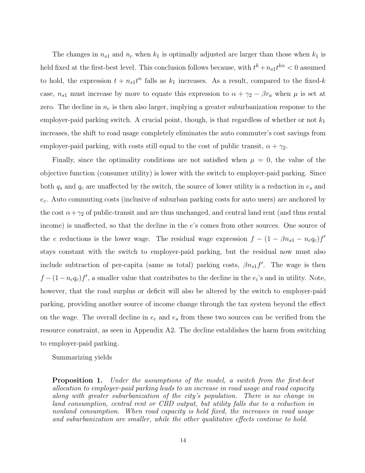The changes in  $n_{s1}$  and  $n_c$  when  $k_1$  is optimally adjusted are larger than those when  $k_1$  is held fixed at the first-best level. This conclusion follows because, with  $t^k + n_{s1}t^{kn} < 0$  assumed to hold, the expression  $t + n_{s1}t^n$  falls as  $k_1$  increases. As a result, compared to the fixed-k case,  $n_{s1}$  must increase by more to equate this expression to  $\alpha + \gamma_2 - \beta r_a$  when  $\mu$  is set at zero. The decline in  $n_c$  is then also larger, implying a greater suburbanization response to the employer-paid parking switch. A crucial point, though, is that regardless of whether or not  $k_1$ increases, the shift to road usage completely eliminates the auto commuter's cost savings from employer-paid parking, with costs still equal to the cost of public transit,  $\alpha + \gamma_2$ .

Finally, since the optimality conditions are not satisfied when  $\mu = 0$ , the value of the objective function (consumer utility) is lower with the switch to employer-paid parking. Since both  $q_s$  and  $q_c$  are unaffected by the switch, the source of lower utility is a reduction in  $e_s$  and  $e_c$ . Auto commuting costs (inclusive of suburban parking costs for auto users) are anchored by the cost  $\alpha + \gamma_2$  of public-transit and are thus unchanged, and central land rent (and thus rental income) is unaffected, so that the decline in the e's comes from other sources. One source of the e reductions is the lower wage. The residual wage expression  $f - (1 - \beta n_{s1} - n_c q_c) f'$ stays constant with the switch to employer-paid parking, but the residual now must also include subtraction of per-capita (same as total) parking costs,  $\beta n_{s}$  f'. The wage is then  $f - (1 - n_c q_c) f'$ , a smaller value that contributes to the decline in the  $e_i$ 's and in utility. Note, however, that the road surplus or deficit will also be altered by the switch to employer-paid parking, providing another source of income change through the tax system beyond the effect on the wage. The overall decline in  $e_c$  and  $e_s$  from these two sources can be verified from the resource constraint, as seen in Appendix A2. The decline establishes the harm from switching to employer-paid parking.

Summarizing yields

**Proposition 1.** Under the assumptions of the model, a switch from the first-best allocation to employer-paid parking leads to an increase in road usage and road capacity along with greater suburbanization of the city's population. There is no change in land consumption, central rent or CBD output, but utility falls due to a reduction in nonland consumption. When road capacity is held fixed, the increases in road usage and suburbanization are smaller, while the other qualitative effects continue to hold.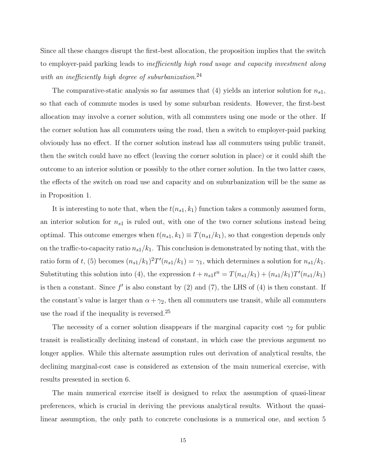Since all these changes disrupt the first-best allocation, the proposition implies that the switch to employer-paid parking leads to inefficiently high road usage and capacity investment along with an inefficiently high degree of suburbanization.<sup>24</sup>

The comparative-static analysis so far assumes that (4) yields an interior solution for  $n_{s1}$ , so that each of commute modes is used by some suburban residents. However, the first-best allocation may involve a corner solution, with all commuters using one mode or the other. If the corner solution has all commuters using the road, then a switch to employer-paid parking obviously has no effect. If the corner solution instead has all commuters using public transit, then the switch could have no effect (leaving the corner solution in place) or it could shift the outcome to an interior solution or possibly to the other corner solution. In the two latter cases, the effects of the switch on road use and capacity and on suburbanization will be the same as in Proposition 1.

It is interesting to note that, when the  $t(n_{s1}, k_1)$  function takes a commonly assumed form, an interior solution for  $n_{s1}$  is ruled out, with one of the two corner solutions instead being optimal. This outcome emerges when  $t(n_{s1}, k_1) \equiv T(n_{s1}/k_1)$ , so that congestion depends only on the traffic-to-capacity ratio  $n_{s1}/k_1$ . This conclusion is demonstrated by noting that, with the ratio form of t, (5) becomes  $(n_{s1}/k_1)^2T'(n_{s1}/k_1) = \gamma_1$ , which determines a solution for  $n_{s1}/k_1$ . Substituting this solution into (4), the expression  $t + n_{s1}t^n = T(n_{s1}/k_1) + (n_{s1}/k_1)T'(n_{s1}/k_1)$ is then a constant. Since  $f'$  is also constant by (2) and (7), the LHS of (4) is then constant. If the constant's value is larger than  $\alpha + \gamma_2$ , then all commuters use transit, while all commuters use the road if the inequality is reversed.<sup>25</sup>

The necessity of a corner solution disappears if the marginal capacity cost  $\gamma_2$  for public transit is realistically declining instead of constant, in which case the previous argument no longer applies. While this alternate assumption rules out derivation of analytical results, the declining marginal-cost case is considered as extension of the main numerical exercise, with results presented in section 6.

The main numerical exercise itself is designed to relax the assumption of quasi-linear preferences, which is crucial in deriving the previous analytical results. Without the quasilinear assumption, the only path to concrete conclusions is a numerical one, and section 5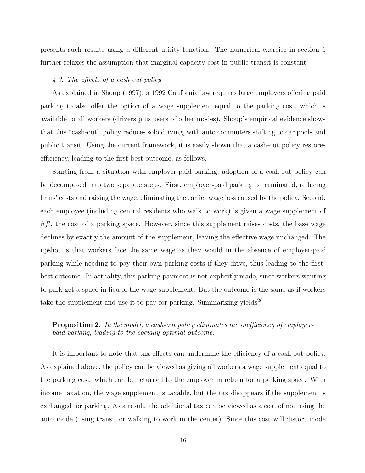presents such results using a different utility function. The numerical exercise in section 6 further relaxes the assumption that marginal capacity cost in public transit is constant.

#### 4.3. The effects of a cash-out policy

As explained in Shoup (1997), a 1992 California law requires large employers offering paid parking to also offer the option of a wage supplement equal to the parking cost, which is available to all workers (drivers plus users of other modes). Shoup's empirical evidence shows that this "cash-out" policy reduces solo driving, with auto commuters shifting to car pools and public transit. Using the current framework, it is easily shown that a cash-out policy restores efficiency, leading to the first-best outcome, as follows.

Starting from a situation with employer-paid parking, adoption of a cash-out policy can be decomposed into two separate steps. First, employer-paid parking is terminated, reducing firms' costs and raising the wage, eliminating the earlier wage loss caused by the policy. Second, each employee (including central residents who walk to work) is given a wage supplement of  $\beta f'$ , the cost of a parking space. However, since this supplement raises costs, the base wage declines by exactly the amount of the supplement, leaving the effective wage unchanged. The upshot is that workers face the same wage as they would in the absence of employer-paid parking while needing to pay their own parking costs if they drive, thus leading to the firstbest outcome. In actuality, this parking payment is not explicitly made, since workers wanting to park get a space in lieu of the wage supplement. But the outcome is the same as if workers take the supplement and use it to pay for parking. Summarizing yields<sup>26</sup>

## **Proposition 2.** In the model, a cash-out policy eliminates the inefficiency of employerpaid parking, leading to the socially optimal outcome.

It is important to note that tax effects can undermine the efficiency of a cash-out policy. As explained above, the policy can be viewed as giving all workers a wage supplement equal to the parking cost, which can be returned to the employer in return for a parking space. With income taxation, the wage supplement is taxable, but the tax disappears if the supplement is exchanged for parking. As a result, the additional tax can be viewed as a cost of not using the auto mode (using transit or walking to work in the center). Since this cost will distort mode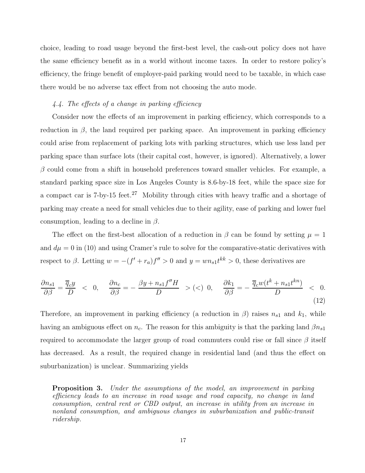choice, leading to road usage beyond the first-best level, the cash-out policy does not have the same efficiency benefit as in a world without income taxes. In order to restore policy's efficiency, the fringe benefit of employer-paid parking would need to be taxable, in which case there would be no adverse tax effect from not choosing the auto mode.

#### 4.4. The effects of a change in parking efficiency

Consider now the effects of an improvement in parking efficiency, which corresponds to a reduction in  $\beta$ , the land required per parking space. An improvement in parking efficiency could arise from replacement of parking lots with parking structures, which use less land per parking space than surface lots (their capital cost, however, is ignored). Alternatively, a lower  $\beta$  could come from a shift in household preferences toward smaller vehicles. For example, a standard parking space size in Los Angeles County is 8.6-by-18 feet, while the space size for a compact car is 7-by-15 feet.<sup>27</sup> Mobility through cities with heavy traffic and a shortage of parking may create a need for small vehicles due to their agility, ease of parking and lower fuel consumption, leading to a decline in  $\beta$ .

The effect on the first-best allocation of a reduction in  $\beta$  can be found by setting  $\mu = 1$ and  $d\mu = 0$  in (10) and using Cramer's rule to solve for the comparative-static derivatives with respect to  $\beta$ . Letting  $w = -(f' + r_a)f'' > 0$  and  $y = w n_{s1}t^{kk} > 0$ , these derivatives are

$$
\frac{\partial n_{s1}}{\partial \beta} = \frac{\overline{q}_c y}{D} < 0, \quad \frac{\partial n_c}{\partial \beta} = -\frac{\beta y + n_{s1} f'' H}{D} > (<) 0, \quad \frac{\partial k_1}{\partial \beta} = -\frac{\overline{q}_c w (t^k + n_{s1} t^{kn})}{D} < 0. \tag{12}
$$

Therefore, an improvement in parking efficiency (a reduction in  $\beta$ ) raises  $n_{s1}$  and  $k_1$ , while having an ambiguous effect on  $n_c$ . The reason for this ambiguity is that the parking land  $\beta n_{s1}$ required to accommodate the larger group of road commuters could rise or fall since  $\beta$  itself has decreased. As a result, the required change in residential land (and thus the effect on suburbanization) is unclear. Summarizing yields

**Proposition 3.** Under the assumptions of the model, an improvement in parking efficiency leads to an increase in road usage and road capacity, no change in land consumption, central rent or CBD output, an increase in utility from an increase in nonland consumption, and ambiguous changes in suburbanization and public-transit ridership.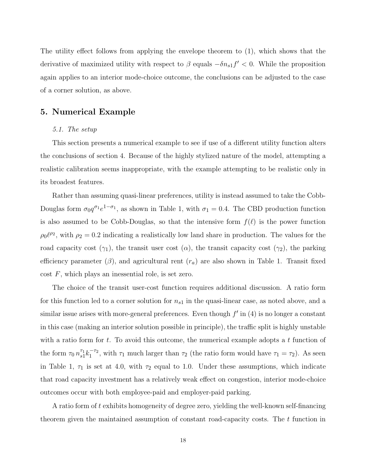The utility effect follows from applying the envelope theorem to (1), which shows that the derivative of maximized utility with respect to  $\beta$  equals  $-\delta n_{s} f' < 0$ . While the proposition again applies to an interior mode-choice outcome, the conclusions can be adjusted to the case of a corner solution, as above.

## 5. Numerical Example

#### 5.1. The setup

This section presents a numerical example to see if use of a different utility function alters the conclusions of section 4. Because of the highly stylized nature of the model, attempting a realistic calibration seems inappropriate, with the example attempting to be realistic only in its broadest features.

Rather than assuming quasi-linear preferences, utility is instead assumed to take the Cobb-Douglas form  $\sigma_0 q^{\sigma_1} e^{1-\sigma_1}$ , as shown in Table 1, with  $\sigma_1 = 0.4$ . The CBD production function is also assumed to be Cobb-Douglas, so that the intensive form  $f(\ell)$  is the power function  $\rho_0\ell^{p_2}$ , with  $\rho_2 = 0.2$  indicating a realistically low land share in production. The values for the road capacity cost  $(\gamma_1)$ , the transit user cost  $(\alpha)$ , the transit capacity cost  $(\gamma_2)$ , the parking efficiency parameter  $(\beta)$ , and agricultural rent  $(r_a)$  are also shown in Table 1. Transit fixed  $\text{cost } F$ , which plays an inessential role, is set zero.

The choice of the transit user-cost function requires additional discussion. A ratio form for this function led to a corner solution for  $n_{s1}$  in the quasi-linear case, as noted above, and a similar issue arises with more-general preferences. Even though  $f'$  in (4) is no longer a constant in this case (making an interior solution possible in principle), the traffic split is highly unstable with a ratio form for t. To avoid this outcome, the numerical example adopts a t function of the form  $\tau_0 n_{s1}^{\tau_1} k_1^{-\tau_2}$ , with  $\tau_1$  much larger than  $\tau_2$  (the ratio form would have  $\tau_1 = \tau_2$ ). As seen in Table 1,  $\tau_1$  is set at 4.0, with  $\tau_2$  equal to 1.0. Under these assumptions, which indicate that road capacity investment has a relatively weak effect on congestion, interior mode-choice outcomes occur with both employee-paid and employer-paid parking.

A ratio form of t exhibits homogeneity of degree zero, yielding the well-known self-financing theorem given the maintained assumption of constant road-capacity costs. The t function in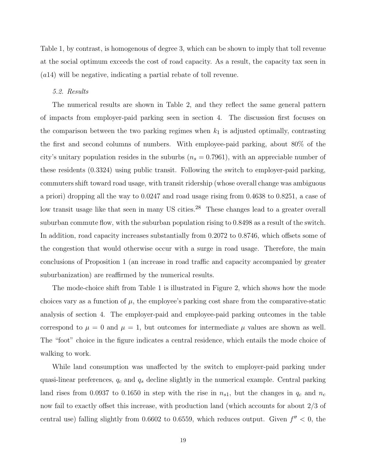Table 1, by contrast, is homogenous of degree 3, which can be shown to imply that toll revenue at the social optimum exceeds the cost of road capacity. As a result, the capacity tax seen in (a14) will be negative, indicating a partial rebate of toll revenue.

#### 5.2. Results

The numerical results are shown in Table 2, and they reflect the same general pattern of impacts from employer-paid parking seen in section 4. The discussion first focuses on the comparison between the two parking regimes when  $k_1$  is adjusted optimally, contrasting the first and second columns of numbers. With employee-paid parking, about 80% of the city's unitary population resides in the suburbs  $(n_s = 0.7961)$ , with an appreciable number of these residents (0.3324) using public transit. Following the switch to employer-paid parking, commuters shift toward road usage, with transit ridership (whose overall change was ambiguous a priori) dropping all the way to 0.0247 and road usage rising from 0.4638 to 0.8251, a case of low transit usage like that seen in many US cities.<sup>28</sup> These changes lead to a greater overall suburban commute flow, with the suburban population rising to 0.8498 as a result of the switch. In addition, road capacity increases substantially from 0.2072 to 0.8746, which offsets some of the congestion that would otherwise occur with a surge in road usage. Therefore, the main conclusions of Proposition 1 (an increase in road traffic and capacity accompanied by greater suburbanization) are reaffirmed by the numerical results.

The mode-choice shift from Table 1 is illustrated in Figure 2, which shows how the mode choices vary as a function of  $\mu$ , the employee's parking cost share from the comparative-static analysis of section 4. The employer-paid and employee-paid parking outcomes in the table correspond to  $\mu = 0$  and  $\mu = 1$ , but outcomes for intermediate  $\mu$  values are shown as well. The "foot" choice in the figure indicates a central residence, which entails the mode choice of walking to work.

While land consumption was unaffected by the switch to employer-paid parking under quasi-linear preferences,  $q_c$  and  $q_s$  decline slightly in the numerical example. Central parking land rises from 0.0937 to 0.1650 in step with the rise in  $n_{s1}$ , but the changes in  $q_c$  and  $n_c$ now fail to exactly offset this increase, with production land (which accounts for about 2/3 of central use) falling slightly from 0.6602 to 0.6559, which reduces output. Given  $f'' < 0$ , the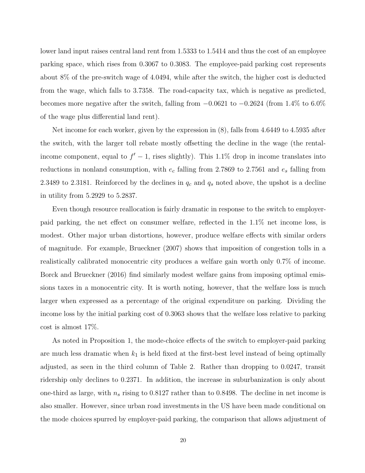lower land input raises central land rent from 1.5333 to 1.5414 and thus the cost of an employee parking space, which rises from 0.3067 to 0.3083. The employee-paid parking cost represents about 8% of the pre-switch wage of 4.0494, while after the switch, the higher cost is deducted from the wage, which falls to 3.7358. The road-capacity tax, which is negative as predicted, becomes more negative after the switch, falling from −0.0621 to −0.2624 (from 1.4% to 6.0% of the wage plus differential land rent).

Net income for each worker, given by the expression in (8), falls from 4.6449 to 4.5935 after the switch, with the larger toll rebate mostly offsetting the decline in the wage (the rentalincome component, equal to  $f' - 1$ , rises slightly). This 1.1% drop in income translates into reductions in nonland consumption, with  $e_c$  falling from 2.7869 to 2.7561 and  $e_s$  falling from 2.3489 to 2.3181. Reinforced by the declines in  $q_c$  and  $q_s$  noted above, the upshot is a decline in utility from 5.2929 to 5.2837.

Even though resource reallocation is fairly dramatic in response to the switch to employerpaid parking, the net effect on consumer welfare, reflected in the 1.1% net income loss, is modest. Other major urban distortions, however, produce welfare effects with similar orders of magnitude. For example, Brueckner (2007) shows that imposition of congestion tolls in a realistically calibrated monocentric city produces a welfare gain worth only 0.7% of income. Borck and Brueckner (2016) find similarly modest welfare gains from imposing optimal emissions taxes in a monocentric city. It is worth noting, however, that the welfare loss is much larger when expressed as a percentage of the original expenditure on parking. Dividing the income loss by the initial parking cost of 0.3063 shows that the welfare loss relative to parking cost is almost 17%.

As noted in Proposition 1, the mode-choice effects of the switch to employer-paid parking are much less dramatic when  $k_1$  is held fixed at the first-best level instead of being optimally adjusted, as seen in the third column of Table 2. Rather than dropping to 0.0247, transit ridership only declines to 0.2371. In addition, the increase in suburbanization is only about one-third as large, with  $n_s$  rising to 0.8127 rather than to 0.8498. The decline in net income is also smaller. However, since urban road investments in the US have been made conditional on the mode choices spurred by employer-paid parking, the comparison that allows adjustment of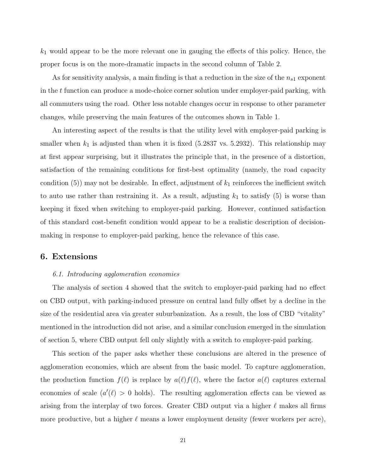$k_1$  would appear to be the more relevant one in gauging the effects of this policy. Hence, the proper focus is on the more-dramatic impacts in the second column of Table 2.

As for sensitivity analysis, a main finding is that a reduction in the size of the  $n_{s1}$  exponent in the t function can produce a mode-choice corner solution under employer-paid parking, with all commuters using the road. Other less notable changes occur in response to other parameter changes, while preserving the main features of the outcomes shown in Table 1.

An interesting aspect of the results is that the utility level with employer-paid parking is smaller when  $k_1$  is adjusted than when it is fixed  $(5.2837 \text{ vs. } 5.2932)$ . This relationship may at first appear surprising, but it illustrates the principle that, in the presence of a distortion, satisfaction of the remaining conditions for first-best optimality (namely, the road capacity condition  $(5)$ ) may not be desirable. In effect, adjustment of  $k_1$  reinforces the inefficient switch to auto use rather than restraining it. As a result, adjusting  $k_1$  to satisfy (5) is worse than keeping it fixed when switching to employer-paid parking. However, continued satisfaction of this standard cost-benefit condition would appear to be a realistic description of decisionmaking in response to employer-paid parking, hence the relevance of this case.

## 6. Extensions

#### 6.1. Introducing agglomeration economies

The analysis of section 4 showed that the switch to employer-paid parking had no effect on CBD output, with parking-induced pressure on central land fully offset by a decline in the size of the residential area via greater suburbanization. As a result, the loss of CBD "vitality" mentioned in the introduction did not arise, and a similar conclusion emerged in the simulation of section 5, where CBD output fell only slightly with a switch to employer-paid parking.

This section of the paper asks whether these conclusions are altered in the presence of agglomeration economies, which are absent from the basic model. To capture agglomeration, the production function  $f(\ell)$  is replace by  $a(\ell)f(\ell)$ , where the factor  $a(\ell)$  captures external economies of scale  $(a'(\ell) > 0$  holds). The resulting agglomeration effects can be viewed as arising from the interplay of two forces. Greater CBD output via a higher  $\ell$  makes all firms more productive, but a higher  $\ell$  means a lower employment density (fewer workers per acre),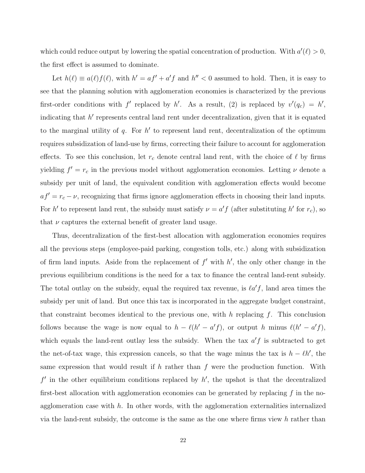which could reduce output by lowering the spatial concentration of production. With  $a'(\ell) > 0$ , the first effect is assumed to dominate.

Let  $h(\ell) \equiv a(\ell) f(\ell)$ , with  $h' = af' + a' f$  and  $h'' < 0$  assumed to hold. Then, it is easy to see that the planning solution with agglomeration economies is characterized by the previous first-order conditions with f' replaced by h'. As a result, (2) is replaced by  $v'(q_c) = h'$ , indicating that  $h'$  represents central land rent under decentralization, given that it is equated to the marginal utility of  $q$ . For  $h'$  to represent land rent, decentralization of the optimum requires subsidization of land-use by firms, correcting their failure to account for agglomeration effects. To see this conclusion, let  $r_c$  denote central land rent, with the choice of  $\ell$  by firms yielding  $f' = r_c$  in the previous model without agglomeration economies. Letting  $\nu$  denote a subsidy per unit of land, the equivalent condition with agglomeration effects would become  $af' = r_c - \nu$ , recognizing that firms ignore agglomeration effects in choosing their land inputs. For h' to represent land rent, the subsidy must satisfy  $\nu = a'f$  (after substituting h' for  $r_c$ ), so that  $\nu$  captures the external benefit of greater land usage.

Thus, decentralization of the first-best allocation with agglomeration economies requires all the previous steps (employee-paid parking, congestion tolls, etc.) along with subsidization of firm land inputs. Aside from the replacement of  $f'$  with  $h'$ , the only other change in the previous equilibrium conditions is the need for a tax to finance the central land-rent subsidy. The total outlay on the subsidy, equal the required tax revenue, is  $\ell a' f$ , land area times the subsidy per unit of land. But once this tax is incorporated in the aggregate budget constraint, that constraint becomes identical to the previous one, with  $h$  replacing  $f$ . This conclusion follows because the wage is now equal to  $h - \ell(h' - a'f)$ , or output h minus  $\ell(h' - a'f)$ , which equals the land-rent outlay less the subsidy. When the tax  $a'f$  is subtracted to get the net-of-tax wage, this expression cancels, so that the wage minus the tax is  $h - \ell h'$ , the same expression that would result if h rather than f were the production function. With  $f'$  in the other equilibrium conditions replaced by  $h'$ , the upshot is that the decentralized first-best allocation with agglomeration economies can be generated by replacing  $f$  in the noagglomeration case with  $h$ . In other words, with the agglomeration externalities internalized via the land-rent subsidy, the outcome is the same as the one where firms view h rather than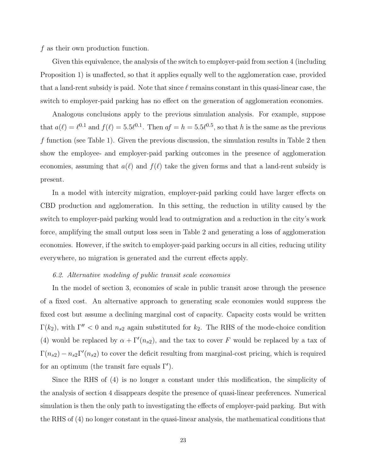$f$  as their own production function.

Given this equivalence, the analysis of the switch to employer-paid from section 4 (including Proposition 1) is unaffected, so that it applies equally well to the agglomeration case, provided that a land-rent subsidy is paid. Note that since  $\ell$  remains constant in this quasi-linear case, the switch to employer-paid parking has no effect on the generation of agglomeration economies.

Analogous conclusions apply to the previous simulation analysis. For example, suppose that  $a(\ell) = \ell^{0.1}$  and  $f(\ell) = 5.5\ell^{0.1}$ . Then  $af = h = 5.5\ell^{0.5}$ , so that h is the same as the previous f function (see Table 1). Given the previous discussion, the simulation results in Table 2 then show the employee- and employer-paid parking outcomes in the presence of agglomeration economies, assuming that  $a(\ell)$  and  $f(\ell)$  take the given forms and that a land-rent subsidy is present.

In a model with intercity migration, employer-paid parking could have larger effects on CBD production and agglomeration. In this setting, the reduction in utility caused by the switch to employer-paid parking would lead to outmigration and a reduction in the city's work force, amplifying the small output loss seen in Table 2 and generating a loss of agglomeration economies. However, if the switch to employer-paid parking occurs in all cities, reducing utility everywhere, no migration is generated and the current effects apply.

#### 6.2. Alternative modeling of public transit scale economies

In the model of section 3, economies of scale in public transit arose through the presence of a fixed cost. An alternative approach to generating scale economies would suppress the fixed cost but assume a declining marginal cost of capacity. Capacity costs would be written  $\Gamma(k_2)$ , with  $\Gamma'' < 0$  and  $n_{s2}$  again substituted for  $k_2$ . The RHS of the mode-choice condition (4) would be replaced by  $\alpha + \Gamma'(n_{s2})$ , and the tax to cover F would be replaced by a tax of  $\Gamma(n_{s2}) - n_{s2}\Gamma'(n_{s2})$  to cover the deficit resulting from marginal-cost pricing, which is required for an optimum (the transit fare equals  $\Gamma'$ ).

Since the RHS of (4) is no longer a constant under this modification, the simplicity of the analysis of section 4 disappears despite the presence of quasi-linear preferences. Numerical simulation is then the only path to investigating the effects of employer-paid parking. But with the RHS of (4) no longer constant in the quasi-linear analysis, the mathematical conditions that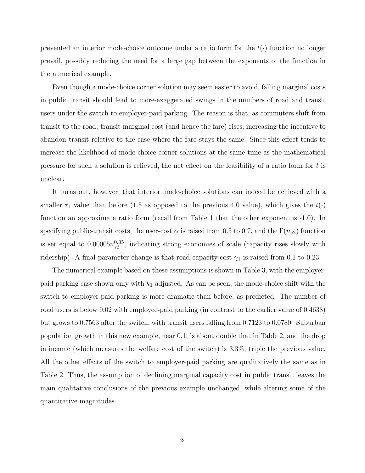prevented an interior mode-choice outcome under a ratio form for the  $t(\cdot)$  function no longer prevail, possibly reducing the need for a large gap between the exponents of the function in the numerical example.

Even though a mode-choice corner solution may seem easier to avoid, falling marginal costs in public transit should lead to more-exaggerated swings in the numbers of road and transit users under the switch to employer-paid parking. The reason is that, as commuters shift from transit to the road, transit marginal cost (and hence the fare) rises, increasing the incentive to abandon transit relative to the case where the fare stays the same. Since this effect tends to increase the likelihood of mode-choice corner solutions at the same time as the mathematical pressure for such a solution is relieved, the net effect on the feasibility of a ratio form for t is unclear.

It turns out, however, that interior mode-choice solutions can indeed be achieved with a smaller  $\tau_1$  value than before (1.5 as opposed to the previous 4.0 value), which gives the  $t(\cdot)$ function an approximate ratio form (recall from Table 1 that the other exponent is -1.0). In specifying public-transit costs, the user-cost  $\alpha$  is raised from 0.5 to 0.7, and the  $\Gamma(n_{s2})$  function is set equal to  $0.00005n_{s2}^{0.05}$ , indicating strong economies of scale (capacity rises slowly with ridership). A final parameter change is that road capacity cost  $\gamma_1$  is raised from 0.1 to 0.23.

The numerical example based on these assumptions is shown in Table 3, with the employerpaid parking case shown only with  $k_1$  adjusted. As can be seen, the mode-choice shift with the switch to employer-paid parking is more dramatic than before, as predicted. The number of road users is below 0.02 with employee-paid parking (in contrast to the earlier value of 0.4638) but grows to 0.7563 after the switch, with transit users falling from 0.7123 to 0.0780. Suburban population growth in this new example, near 0.1, is about double that in Table 2, and the drop in income (which measures the welfare cost of the switch) is 3.3%, triple the previous value. All the other effects of the switch to employer-paid parking are qualitatively the same as in Table 2. Thus, the assumption of declining marginal capacity cost in public transit leaves the main qualitative conclusions of the previous example unchanged, while altering some of the quantitative magnitudes.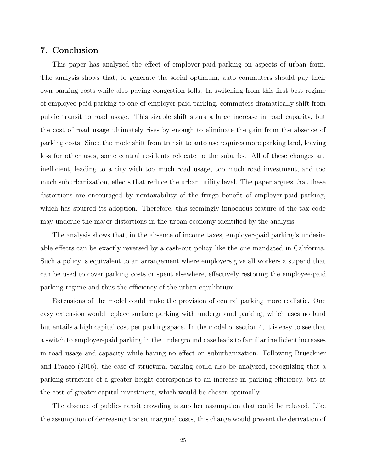## 7. Conclusion

This paper has analyzed the effect of employer-paid parking on aspects of urban form. The analysis shows that, to generate the social optimum, auto commuters should pay their own parking costs while also paying congestion tolls. In switching from this first-best regime of employee-paid parking to one of employer-paid parking, commuters dramatically shift from public transit to road usage. This sizable shift spurs a large increase in road capacity, but the cost of road usage ultimately rises by enough to eliminate the gain from the absence of parking costs. Since the mode shift from transit to auto use requires more parking land, leaving less for other uses, some central residents relocate to the suburbs. All of these changes are inefficient, leading to a city with too much road usage, too much road investment, and too much suburbanization, effects that reduce the urban utility level. The paper argues that these distortions are encouraged by nontaxability of the fringe benefit of employer-paid parking, which has spurred its adoption. Therefore, this seemingly innocuous feature of the tax code may underlie the major distortions in the urban economy identified by the analysis.

The analysis shows that, in the absence of income taxes, employer-paid parking's undesirable effects can be exactly reversed by a cash-out policy like the one mandated in California. Such a policy is equivalent to an arrangement where employers give all workers a stipend that can be used to cover parking costs or spent elsewhere, effectively restoring the employee-paid parking regime and thus the efficiency of the urban equilibrium.

Extensions of the model could make the provision of central parking more realistic. One easy extension would replace surface parking with underground parking, which uses no land but entails a high capital cost per parking space. In the model of section 4, it is easy to see that a switch to employer-paid parking in the underground case leads to familiar inefficient increases in road usage and capacity while having no effect on suburbanization. Following Brueckner and Franco (2016), the case of structural parking could also be analyzed, recognizing that a parking structure of a greater height corresponds to an increase in parking efficiency, but at the cost of greater capital investment, which would be chosen optimally.

The absence of public-transit crowding is another assumption that could be relaxed. Like the assumption of decreasing transit marginal costs, this change would prevent the derivation of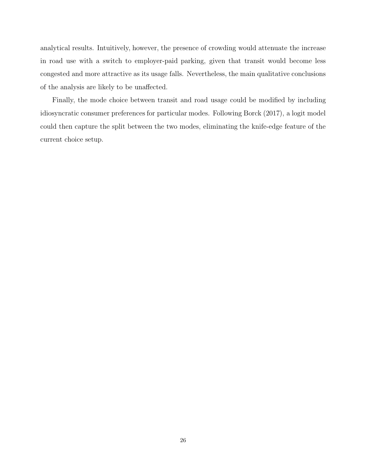analytical results. Intuitively, however, the presence of crowding would attenuate the increase in road use with a switch to employer-paid parking, given that transit would become less congested and more attractive as its usage falls. Nevertheless, the main qualitative conclusions of the analysis are likely to be unaffected.

Finally, the mode choice between transit and road usage could be modified by including idiosyncratic consumer preferences for particular modes. Following Borck (2017), a logit model could then capture the split between the two modes, eliminating the knife-edge feature of the current choice setup.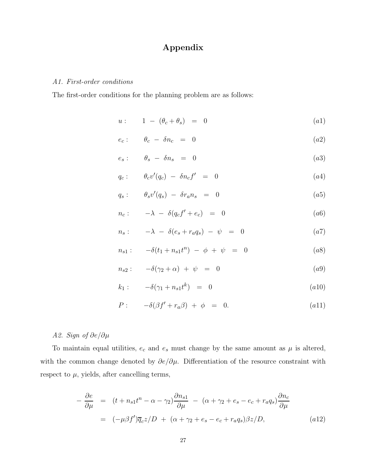# Appendix

#### A1. First-order conditions

The first-order conditions for the planning problem are as follows:

$$
u: \qquad 1 \ - \ (\theta_c + \theta_s) \ = \ 0 \tag{a1}
$$

$$
e_c: \qquad \theta_c \ - \ \delta n_c \ = \ 0 \tag{a2}
$$

$$
e_s: \qquad \theta_s \ - \ \delta n_s \ = \ 0 \tag{a3}
$$

$$
q_c: \qquad \theta_c v'(q_c) \ - \ \delta n_c f' \ = \ 0 \tag{a4}
$$

$$
q_s: \qquad \theta_s v'(q_s) - \delta r_a n_s = 0 \qquad (a5)
$$

$$
n_c: \t -\lambda - \delta(q_c f' + e_c) = 0 \t (a6)
$$

$$
n_s: \quad -\lambda \; - \; \delta(e_s + r_a q_s) \; - \; \psi \;\; = \;\; 0 \tag{a7}
$$

$$
n_{s1}: \t -\delta(t_1 + n_{s1}t^n) - \phi + \psi = 0 \t (a8)
$$

$$
n_{s2}:\quad -\delta(\gamma_2+\alpha) + \psi = 0 \tag{a9}
$$

$$
k_1: \qquad -\delta(\gamma_1 + n_{s1}t^k) = 0 \qquad (a10)
$$

$$
P: \qquad -\delta(\beta f' + r_a \beta) + \phi = 0. \tag{a11}
$$

## A2. Sign of ∂e/∂µ

To maintain equal utilities,  $e_c$  and  $e_s$  must change by the same amount as  $\mu$  is altered, with the common change denoted by  $\partial e/\partial \mu$ . Differentiation of the resource constraint with respect to  $\mu$ , yields, after cancelling terms,

$$
-\frac{\partial e}{\partial \mu} = (t + n_{s1}t^n - \alpha - \gamma_2)\frac{\partial n_{s1}}{\partial \mu} - (\alpha + \gamma_2 + e_s - e_c + r_a q_s)\frac{\partial n_c}{\partial \mu}
$$
  

$$
= (-\mu\beta f')\overline{q}_c z/D + (\alpha + \gamma_2 + e_s - e_c + r_a q_s)\beta z/D, \qquad (a12)
$$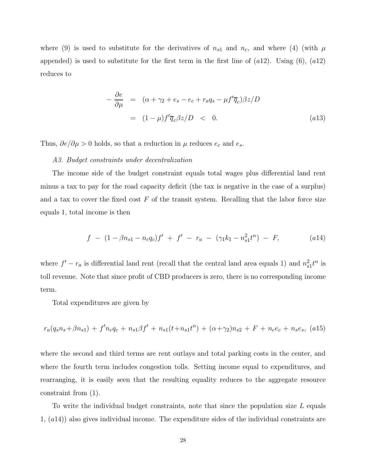where (9) is used to substitute for the derivatives of  $n_{s1}$  and  $n_c$ , and where (4) (with  $\mu$ appended) is used to substitute for the first term in the first line of  $(a12)$ . Using  $(6)$ ,  $(a12)$ reduces to

$$
-\frac{\partial e}{\partial \mu} = (\alpha + \gamma_2 + e_s - e_c + r_a q_s - \mu f' \overline{q}_c) \beta z / D
$$
  
=  $(1 - \mu) f' \overline{q}_c \beta z / D$  < 0. (a13)

Thus,  $\partial e/\partial \mu > 0$  holds, so that a reduction in  $\mu$  reduces  $e_c$  and  $e_s$ .

#### A3. Budget constraints under decentralization

The income side of the budget constraint equals total wages plus differential land rent minus a tax to pay for the road capacity deficit (the tax is negative in the case of a surplus) and a tax to cover the fixed cost  $F$  of the transit system. Recalling that the labor force size equals 1, total income is then

$$
f - (1 - \beta n_{s1} - n_c q_c) f' + f' - r_a - (\gamma_1 k_1 - n_{s1}^2 t^n) - F,
$$
 (a14)

where  $f' - r_a$  is differential land rent (recall that the central land area equals 1) and  $n_{s1}^2 t^n$  is toll revenue. Note that since profit of CBD producers is zero, there is no corresponding income term.

Total expenditures are given by

$$
r_a(q_s n_s + \beta n_{s1}) + f' n_c q_c + n_{s1} \beta f' + n_{s1} (t + n_{s1} t^n) + (\alpha + \gamma_2) n_{s2} + F + n_c e_c + n_s e_s, \ (a15)
$$

where the second and third terms are rent outlays and total parking costs in the center, and where the fourth term includes congestion tolls. Setting income equal to expenditures, and rearranging, it is easily seen that the resulting equality reduces to the aggregate resource constraint from (1).

To write the individual budget constraints, note that since the population size L equals 1, (a14)) also gives individual income. The expenditure sides of the individual constraints are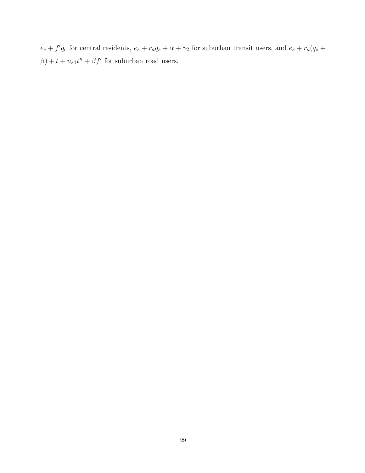$e_c + f' q_c$  for central residents,  $e_s + r_a q_s + \alpha + \gamma_2$  for suburban transit users, and  $e_s + r_a (q_s +$  $\beta$ ) + t +  $n_{s1}t^n$  +  $\beta f'$  for suburban road users.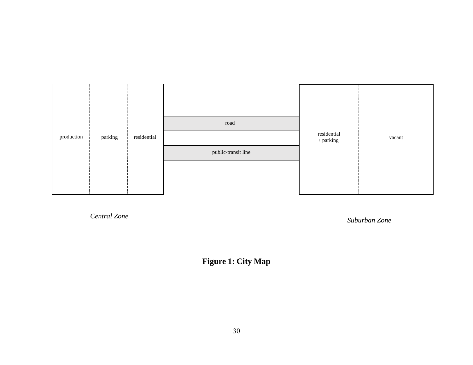| production | parking | residential | road<br>public-transit line | residential<br>$\,$ + parking | vacant |
|------------|---------|-------------|-----------------------------|-------------------------------|--------|
|            |         |             |                             |                               |        |

*Central Zone Suburban Zone*

**Figure 1: City Map**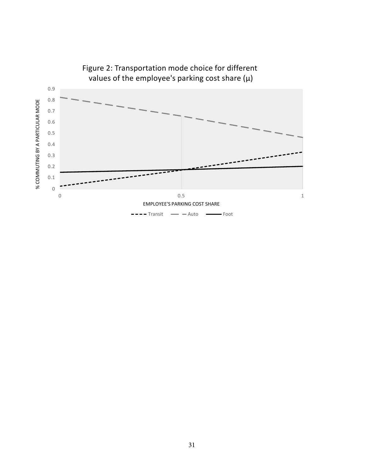

31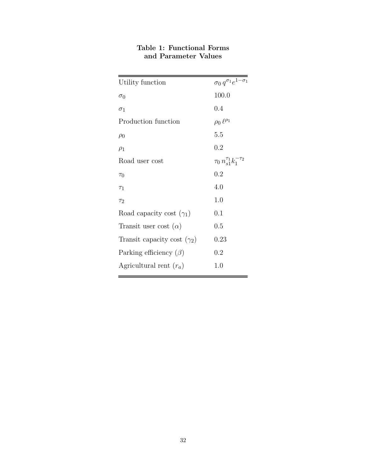| Utility function                   | $\sigma_0 q^{\sigma_1} e^{1-\sigma_1}$ |
|------------------------------------|----------------------------------------|
| $\sigma_0$                         | 100.0                                  |
| $\sigma_1$                         | 0.4                                    |
| Production function                | $\rho_0 \, \ell^{\rho_1}$              |
| $\rho_0$                           | 5.5                                    |
| $\rho_1$                           | 0.2                                    |
| Road user cost                     | $\tau_0 n_{s1}^{\tau_1} k_1^{-\tau_2}$ |
| $\tau_0$                           | 0.2                                    |
| $\tau_1$                           | 4.0                                    |
| $\tau_2$                           | 1.0                                    |
| Road capacity cost $(\gamma_1)$    | 0.1                                    |
| Transit user cost $(\alpha)$       | 0.5                                    |
| Transit capacity cost $(\gamma_2)$ | 0.23                                   |
| Parking efficiency $(\beta)$       | 0.2                                    |
| Agricultural rent $(r_a)$          | $1.0\,$                                |
|                                    |                                        |

÷,

## Table 1: Functional Forms and Parameter Values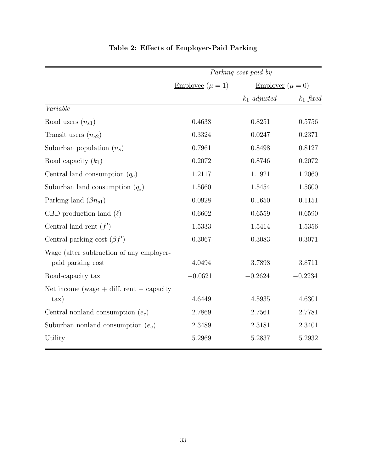|                                              | Parking cost paid by        |                             |             |
|----------------------------------------------|-----------------------------|-----------------------------|-------------|
|                                              | <u>Employee</u> $(\mu = 1)$ | <u>Employer</u> $(\mu = 0)$ |             |
|                                              |                             | $k_1$ adjusted              | $k_1$ fixed |
| Variable                                     |                             |                             |             |
| Road users $(n_{s1})$                        | 0.4638                      | 0.8251                      | 0.5756      |
| Transit users $(n_{s2})$                     | 0.3324                      | 0.0247                      | 0.2371      |
| Suburban population $(n_s)$                  | 0.7961                      | 0.8498                      | 0.8127      |
| Road capacity $(k_1)$                        | 0.2072                      | 0.8746                      | 0.2072      |
| Central land consumption $(q_c)$             | 1.2117                      | 1.1921                      | 1.2060      |
| Suburban land consumption $(q_s)$            | 1.5660                      | 1.5454                      | 1.5600      |
| Parking land $(\beta n_{s1})$                | 0.0928                      | 0.1650                      | 0.1151      |
| CBD production land $(\ell)$                 | 0.6602                      | 0.6559                      | 0.6590      |
| Central land rent $(f')$                     | 1.5333                      | 1.5414                      | 1.5356      |
| Central parking cost $(\beta f')$            | 0.3067                      | 0.3083                      | 0.3071      |
| Wage (after subtraction of any employer-     |                             |                             |             |
| paid parking cost                            | 4.0494                      | 3.7898                      | 3.8711      |
| Road-capacity tax                            | $-0.0621$                   | $-0.2624$                   | $-0.2234$   |
| Net income (wage $+$ diff. rent $-$ capacity |                             |                             |             |
| $\text{tax})$                                | 4.6449                      | 4.5935                      | 4.6301      |
| Central nonland consumption $(e_c)$          | 2.7869                      | 2.7561                      | 2.7781      |
| Suburban nonland consumption $(e_s)$         | 2.3489                      | 2.3181                      | 2.3401      |
| Utility                                      | 5.2969                      | 5.2837                      | 5.2932      |
|                                              |                             |                             |             |

# Table 2: Effects of Employer-Paid Parking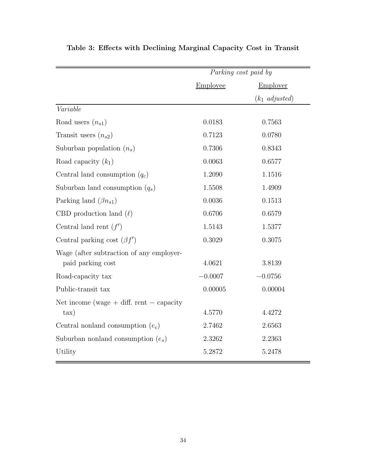| Parking cost paid by |                          |
|----------------------|--------------------------|
| Employee             | Employer                 |
|                      | $(k_1 \text{ adjusted})$ |
|                      |                          |
| 0.0183               | 0.7563                   |
| 0.7123               | 0.0780                   |
| 0.7306               | 0.8343                   |
| 0.0063               | 0.6577                   |
| 1.2090               | 1.1516                   |
| 1.5508               | 1.4909                   |
| 0.0036               | 0.1513                   |
| 0.6706               | 0.6579                   |
| 1.5143               | 1.5377                   |
| 0.3029               | 0.3075                   |
|                      |                          |
| 4.0621               | 3.8139                   |
| $-0.0007$            | $-0.0756$                |
| 0.00005              | 0.00004                  |
| 4.5770               | 4.4272                   |
| 2.7462               | 2.6563                   |
| 2.3262               | 2.2363                   |
| 5.2872               | 5.2478                   |
|                      |                          |

Table 3: Effects with Declining Marginal Capacity Cost in Transit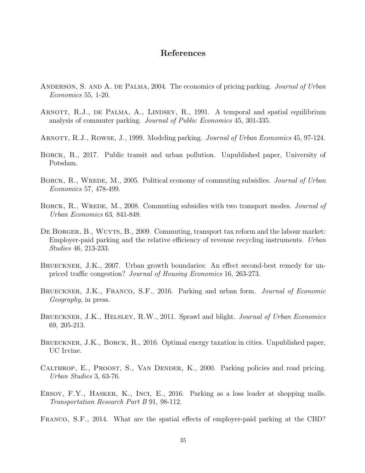## References

- ANDERSON, S. AND A. DE PALMA, 2004. The economics of pricing parking. *Journal of Urban* Economics 55, 1-20.
- ARNOTT, R.J., DE PALMA, A., LINDSEY, R., 1991. A temporal and spatial equilibrium analysis of commuter parking. Journal of Public Economics 45, 301-335.
- ARNOTT, R.J., ROWSE, J., 1999. Modeling parking. *Journal of Urban Economics* 45, 97-124.
- Borck, R., 2017. Public transit and urban pollution. Unpublished paper, University of Potsdam.
- BORCK, R., WREDE, M., 2005. Political economy of commuting subsidies. Journal of Urban Economics 57, 478-499.
- BORCK, R., WREDE, M., 2008. Commuting subsidies with two transport modes. Journal of Urban Economics 63, 841-848.
- DE BORGER, B., WUYTS, B., 2009. Commuting, transport tax reform and the labour market: Employer-paid parking and the relative efficiency of revenue recycling instruments. Urban Studies 46, 213-233.
- Brueckner, J.K., 2007. Urban growth boundaries: An effect second-best remedy for unpriced traffic congestion? Journal of Housing Economics 16, 263-273.
- BRUECKNER, J.K., FRANCO, S.F., 2016. Parking and urban form. *Journal of Economic* Geography, in press.
- BRUECKNER, J.K., HELSLEY, R.W., 2011. Sprawl and blight. *Journal of Urban Economics* 69, 205-213.
- BRUECKNER, J.K., BORCK, R., 2016. Optimal energy taxation in cities. Unpublished paper, UC Irvine.
- CALTHROP, E., PROOST, S., VAN DENDER, K., 2000. Parking policies and road pricing. Urban Studies 3, 63-76.
- ERSOY, F.Y., HASKER, K., INCI, E., 2016. Parking as a loss leader at shopping malls. Transportation Research Part B 91, 98-112.

Franco, S.F., 2014. What are the spatial effects of employer-paid parking at the CBD?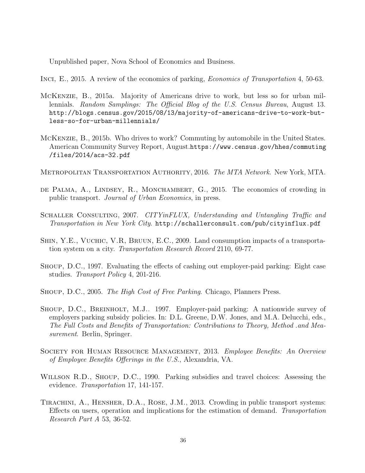Unpublished paper, Nova School of Economics and Business.

INCI, E., 2015. A review of the economics of parking, *Economics of Transportation* 4, 50-63.

- McKenzie, B., 2015a. Majority of Americans drive to work, but less so for urban millennials. Random Samplings: The Official Blog of the U.S. Census Bureau, August 13. http://blogs.census.gov/2015/08/13/majority-of-americans-drive-to-work-butless-so-for-urban-millennials/
- McKenzie, B., 2015b. Who drives to work? Commuting by automobile in the United States. American Community Survey Report, August.https://www.census.gov/hhes/commuting /files/2014/acs-32.pdf
- METROPOLITAN TRANSPORTATION AUTHORITY, 2016. The MTA Network. New York, MTA.
- DE PALMA,  $A_{.}$ , LINDSEY, R., MONCHAMBERT, G., 2015. The economics of crowding in public transport. Journal of Urban Economics, in press.
- Schaller Consulting, 2007. CITYinFLUX, Understanding and Untangling Traffic and Transportation in New York City. http://schallerconsult.com/pub/cityinflux.pdf
- Shin, Y.E., Vuchic, V.R, Bruun, E.C., 2009. Land consumption impacts of a transportation system on a city. Transportation Research Record 2110, 69-77.
- Shoup, D.C., 1997. Evaluating the effects of cashing out employer-paid parking: Eight case studies. Transport Policy 4, 201-216.
- SHOUP, D.C., 2005. The High Cost of Free Parking. Chicago, Planners Press.
- Shoup, D.C., Breinholt, M.J.. 1997. Employer-paid parking: A nationwide survey of employers parking subsidy policies. In: D.L. Greene, D.W. Jones, and M.A. Delucchi, eds., The Full Costs and Benefits of Transportation: Contributions to Theory, Method .and Measurement. Berlin, Springer.
- SOCIETY FOR HUMAN RESOURCE MANAGEMENT, 2013. Employee Benefits: An Overview of Employee Benefits Offerings in the U.S., Alexandria, VA.
- WILLSON R.D., SHOUP, D.C., 1990. Parking subsidies and travel choices: Assessing the evidence. Transportation 17, 141-157.
- Tirachini, A., Hensher, D.A., Rose, J.M., 2013. Crowding in public transport systems: Effects on users, operation and implications for the estimation of demand. Transportation Research Part A 53, 36-52.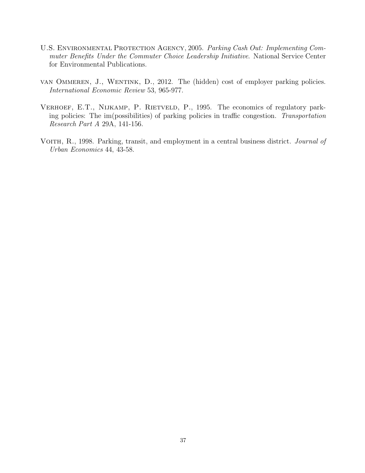- U.S. ENVIRONMENTAL PROTECTION AGENCY, 2005. Parking Cash Out: Implementing Commuter Benefits Under the Commuter Choice Leadership Initiative. National Service Center for Environmental Publications.
- van Ommeren, J., Wentink, D., 2012. The (hidden) cost of employer parking policies. International Economic Review 53, 965-977.
- VERHOEF, E.T., NIJKAMP, P. RIETVELD, P., 1995. The economics of regulatory parking policies: The im(possibilities) of parking policies in traffic congestion. Transportation Research Part A 29A, 141-156.
- VOITH, R., 1998. Parking, transit, and employment in a central business district. Journal of Urban Economics 44, 43-58.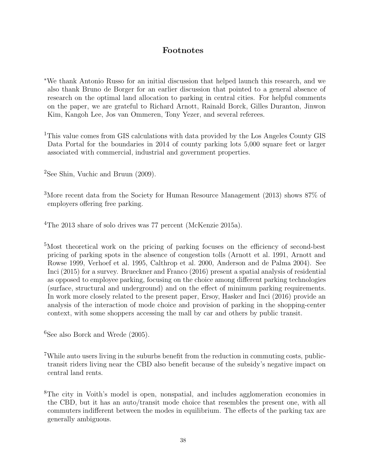# Footnotes

- <sup>∗</sup>We thank Antonio Russo for an initial discussion that helped launch this research, and we also thank Bruno de Borger for an earlier discussion that pointed to a general absence of research on the optimal land allocation to parking in central cities. For helpful comments on the paper, we are grateful to Richard Arnott, Rainald Borck, Gilles Duranton, Jinwon Kim, Kangoh Lee, Jos van Ommeren, Tony Yezer, and several referees.
- <sup>1</sup>This value comes from GIS calculations with data provided by the Los Angeles County GIS Data Portal for the boundaries in 2014 of county parking lots 5,000 square feet or larger associated with commercial, industrial and government properties.

 $2$ See Shin, Vuchic and Bruun (2009).

<sup>3</sup>More recent data from the Society for Human Resource Management (2013) shows 87% of employers offering free parking.

<sup>4</sup>The 2013 share of solo drives was 77 percent (McKenzie 2015a).

<sup>5</sup>Most theoretical work on the pricing of parking focuses on the efficiency of second-best pricing of parking spots in the absence of congestion tolls (Arnott et al. 1991, Arnott and Rowse 1999, Verhoef et al. 1995, Calthrop et al. 2000, Anderson and de Palma 2004). See Inci (2015) for a survey. Brueckner and Franco (2016) present a spatial analysis of residential as opposed to employee parking, focusing on the choice among different parking technologies (surface, structural and underground) and on the effect of minimum parking requirements. In work more closely related to the present paper, Ersoy, Hasker and Inci (2016) provide an analysis of the interaction of mode choice and provision of parking in the shopping-center context, with some shoppers accessing the mall by car and others by public transit.

 ${}^{6}$ See also Borck and Wrede (2005).

<sup>7</sup>While auto users living in the suburbs benefit from the reduction in commuting costs, publictransit riders living near the CBD also benefit because of the subsidy's negative impact on central land rents.

<sup>8</sup>The city in Voith's model is open, nonspatial, and includes agglomeration economies in the CBD, but it has an auto/transit mode choice that resembles the present one, with all commuters indifferent between the modes in equilibrium. The effects of the parking tax are generally ambiguous.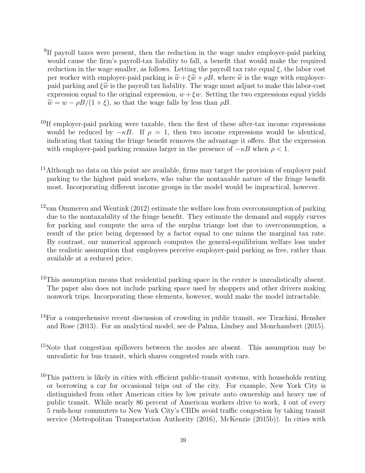- <sup>9</sup>If payroll taxes were present, then the reduction in the wage under employer-paid parking would cause the firm's payroll-tax liability to fall, a benefit that would make the required reduction in the wage smaller, as follows. Letting the payroll tax rate equal  $\xi$ , the labor cost per worker with employer-paid parking is  $\tilde{w} + \xi \tilde{w} + \rho B$ , where  $\tilde{w}$  is the wage with employerpaid parking and  $\xi \tilde{w}$  is the payroll tax liability. The wage must adjust to make this labor-cost expression equal to the original expression,  $w + \xi w$ . Setting the two expressions equal yields  $\tilde{w} = w - \rho B/(1+\xi)$ , so that the wage falls by less than  $\rho B$ .
- <sup>10</sup>If employer-paid parking were taxable, then the first of these after-tax income expressions would be reduced by  $-\kappa B$ . If  $\rho = 1$ , then two income expressions would be identical, indicating that taxing the fringe benefit removes the advantage it offers. But the expression with employer-paid parking remains larger in the presence of  $-\kappa B$  when  $\rho < 1$ .
- <sup>11</sup>Although no data on this point are available, firms may target the provision of employer paid parking to the highest paid workers, who value the nontaxable nature of the fringe benefit most. Incorporating different income groups in the model would be impractical, however.
- $12$ van Ommeren and Wentink (2012) estimate the welfare loss from overconsumption of parking due to the nontaxability of the fringe benefit. They estimate the demand and supply curves for parking and compute the area of the surplus triange lost due to overconsumption, a result of the price being depressed by a factor equal to one minus the marginal tax rate. By contrast, our numerical approach computes the general-equilibrium welfare loss under the realistic assumption that employees perceive employer-paid parking as free, rather than available at a reduced price.
- <sup>13</sup>This assumption means that residential parking space in the center is unrealistically absent. The paper also does not include parking space used by shoppers and other drivers making nonwork trips. Incorporating these elements, however, would make the model intractable.
- $14$ For a comprehensive recent discussion of crowding in public transit, see Tirachini, Hensher and Rose (2013). For an analytical model, see de Palma, Lindsey and Monchambert (2015).
- <sup>15</sup>Note that congestion spillovers between the modes are absent. This assumption may be unrealistic for bus transit, which shares congested roads with cars.
- <sup>16</sup>This pattern is likely in cities with efficient public-transit systems, with households renting or borrowing a car for occasional trips out of the city. For example, New York City is distinguished from other American cities by low private auto ownership and heavy use of public transit. While nearly 86 percent of American workers drive to work, 4 out of every 5 rush-hour commuters to New York City's CBDs avoid traffic congestion by taking transit service (Metropolitan Transportation Authority (2016), McKenzie (2015b)). In cities with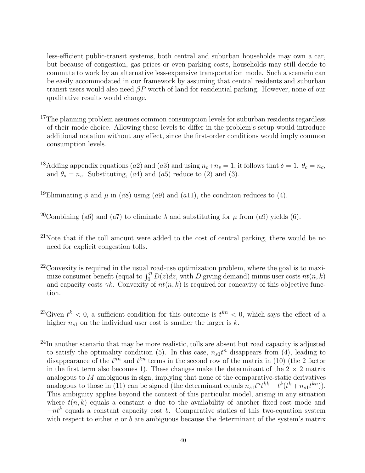less-efficient public-transit systems, both central and suburban households may own a car, but because of congestion, gas prices or even parking costs, households may still decide to commute to work by an alternative less-expensive transportation mode. Such a scenario can be easily accommodated in our framework by assuming that central residents and suburban transit users would also need  $\beta P$  worth of land for residential parking. However, none of our qualitative results would change.

- $17$ The planning problem assumes common consumption levels for suburban residents regardless of their mode choice. Allowing these levels to differ in the problem's setup would introduce additional notation without any effect, since the first-order conditions would imply common consumption levels.
- <sup>18</sup>Adding appendix equations (a2) and (a3) and using  $n_c+n_s = 1$ , it follows that  $\delta = 1$ ,  $\theta_c = n_c$ , and  $\theta_s = n_s$ . Substituting,  $(a4)$  and  $(a5)$  reduce to (2) and (3).

<sup>19</sup>Eliminating  $\phi$  and  $\mu$  in (a8) using (a9) and (a11), the condition reduces to (4).

<sup>20</sup>Combining (a6) and (a7) to eliminate  $\lambda$  and substituting for  $\mu$  from (a9) yields (6).

- <sup>21</sup>Note that if the toll amount were added to the cost of central parking, there would be no need for explicit congestion tolls.
- <sup>22</sup>Convexity is required in the usual road-use optimization problem, where the goal is to maximize consumer benefit (equal to  $\int_0^n D(z)dz$ , with D giving demand) minus user costs  $nt(n, k)$ and capacity costs  $\gamma k$ . Convexity of  $nt(n, k)$  is required for concavity of this objective function.
- <sup>23</sup>Given  $t^k < 0$ , a sufficient condition for this outcome is  $t^{kn} < 0$ , which says the effect of a higher  $n_{s1}$  on the individual user cost is smaller the larger is k.
- $^{24}$ In another scenario that may be more realistic, tolls are absent but road capacity is adjusted to satisfy the optimality condition (5). In this case,  $n_{s1}t^n$  disappears from (4), leading to disappearance of the  $t^{nn}$  and  $t^{kn}$  terms in the second row of the matrix in (10) (the 2 factor in the first term also becomes 1). These changes make the determinant of the  $2 \times 2$  matrix analogous to M ambiguous in sign, implying that none of the comparative-static derivatives analogous to those in (11) can be signed (the determinant equals  $n_{s1}t^{n}t^{kk} - t^{k}(t^{k} + n_{s1}t^{kn})$ ). This ambiguity applies beyond the context of this particular model, arising in any situation where  $t(n, k)$  equals a constant a due to the availability of another fixed-cost mode and  $-nt^k$  equals a constant capacity cost b. Comparative statics of this two-equation system with respect to either  $a$  or  $b$  are ambiguous because the determinant of the system's matrix